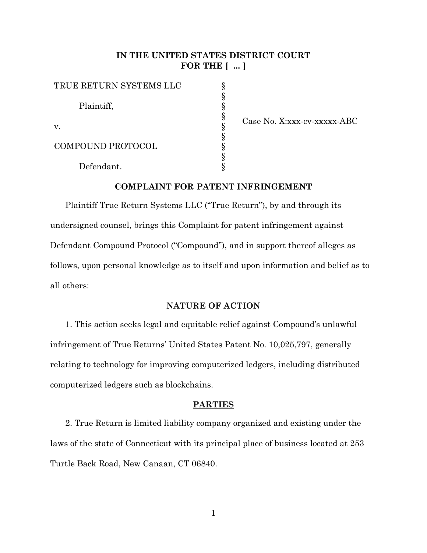# **IN THE UNITED STATES DISTRICT COURT FOR THE [ ... ]**

§ § § § § § § § §

| TRUE RETURN SYSTEMS LLC |  |
|-------------------------|--|
| Plaintiff,              |  |
| $V_{\cdot}$             |  |
| COMPOUND PROTOCOL       |  |
| Defendant.              |  |

Case No. X:xxx-cv-xxxxx-ABC

## **COMPLAINT FOR PATENT INFRINGEMENT**

Plaintiff True Return Systems LLC ("True Return"), by and through its undersigned counsel, brings this Complaint for patent infringement against Defendant Compound Protocol ("Compound"), and in support thereof alleges as follows, upon personal knowledge as to itself and upon information and belief as to all others:

#### **NATURE OF ACTION**

1. This action seeks legal and equitable relief against Compound's unlawful infringement of True Returns' United States Patent No. 10,025,797, generally relating to technology for improving computerized ledgers, including distributed computerized ledgers such as blockchains.

## **PARTIES**

2. True Return is limited liability company organized and existing under the laws of the state of Connecticut with its principal place of business located at 253 Turtle Back Road, New Canaan, CT 06840.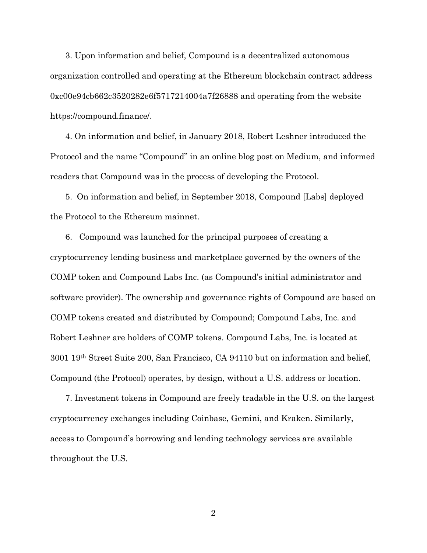3. Upon information and belief, Compound is a decentralized autonomous organization controlled and operating at the Ethereum blockchain contract address 0xc00e94cb662c3520282e6f5717214004a7f26888 and operating from the website [https://compound.finance/.](https://compound.finance/)

4. On information and belief, in January 2018, Robert Leshner introduced the Protocol and the name "Compound" in an online blog post on Medium, and informed readers that Compound was in the process of developing the Protocol.

5. On information and belief, in September 2018, Compound [Labs] deployed the Protocol to the Ethereum mainnet.

6. Compound was launched for the principal purposes of creating a cryptocurrency lending business and marketplace governed by the owners of the COMP token and Compound Labs Inc. (as Compound's initial administrator and software provider). The ownership and governance rights of Compound are based on COMP tokens created and distributed by Compound; Compound Labs, Inc. and Robert Leshner are holders of COMP tokens. Compound Labs, Inc. is located at 3001 19th Street Suite 200, San Francisco, CA 94110 but on information and belief, Compound (the Protocol) operates, by design, without a U.S. address or location.

7. Investment tokens in Compound are freely tradable in the U.S. on the largest cryptocurrency exchanges including Coinbase, Gemini, and Kraken. Similarly, access to Compound's borrowing and lending technology services are available throughout the U.S.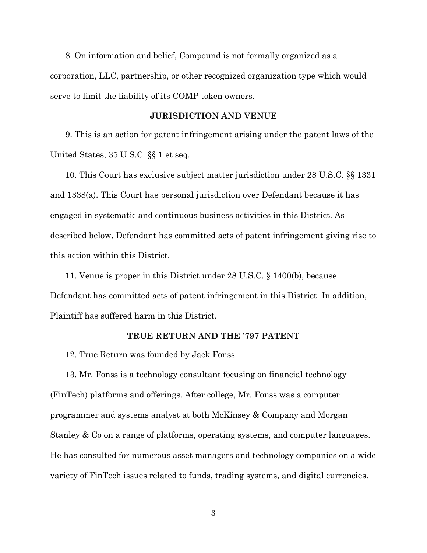8. On information and belief, Compound is not formally organized as a corporation, LLC, partnership, or other recognized organization type which would serve to limit the liability of its COMP token owners.

#### **JURISDICTION AND VENUE**

9. This is an action for patent infringement arising under the patent laws of the United States, 35 U.S.C. §§ 1 et seq.

10. This Court has exclusive subject matter jurisdiction under 28 U.S.C. §§ 1331 and 1338(a). This Court has personal jurisdiction over Defendant because it has engaged in systematic and continuous business activities in this District. As described below, Defendant has committed acts of patent infringement giving rise to this action within this District.

11. Venue is proper in this District under 28 U.S.C. § 1400(b), because Defendant has committed acts of patent infringement in this District. In addition, Plaintiff has suffered harm in this District.

#### **TRUE RETURN AND THE '797 PATENT**

12. True Return was founded by Jack Fonss.

13. Mr. Fonss is a technology consultant focusing on financial technology (FinTech) platforms and offerings. After college, Mr. Fonss was a computer programmer and systems analyst at both McKinsey & Company and Morgan Stanley & Co on a range of platforms, operating systems, and computer languages. He has consulted for numerous asset managers and technology companies on a wide variety of FinTech issues related to funds, trading systems, and digital currencies.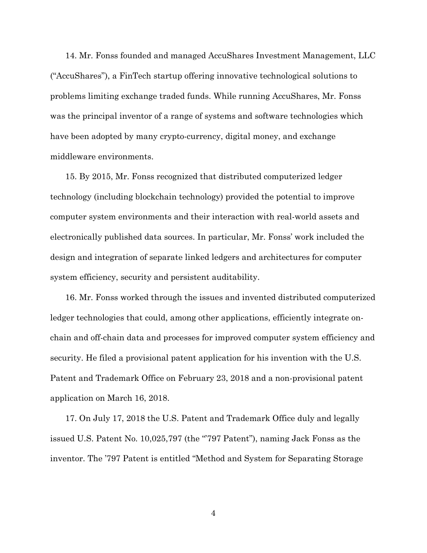14. Mr. Fonss founded and managed AccuShares Investment Management, LLC ("AccuShares"), a FinTech startup offering innovative technological solutions to problems limiting exchange traded funds. While running AccuShares, Mr. Fonss was the principal inventor of a range of systems and software technologies which have been adopted by many crypto-currency, digital money, and exchange middleware environments.

15. By 2015, Mr. Fonss recognized that distributed computerized ledger technology (including blockchain technology) provided the potential to improve computer system environments and their interaction with real-world assets and electronically published data sources. In particular, Mr. Fonss' work included the design and integration of separate linked ledgers and architectures for computer system efficiency, security and persistent auditability.

16. Mr. Fonss worked through the issues and invented distributed computerized ledger technologies that could, among other applications, efficiently integrate onchain and off-chain data and processes for improved computer system efficiency and security. He filed a provisional patent application for his invention with the U.S. Patent and Trademark Office on February 23, 2018 and a non-provisional patent application on March 16, 2018.

17. On July 17, 2018 the U.S. Patent and Trademark Office duly and legally issued U.S. Patent No. 10,025,797 (the "'797 Patent"), naming Jack Fonss as the inventor. The '797 Patent is entitled "Method and System for Separating Storage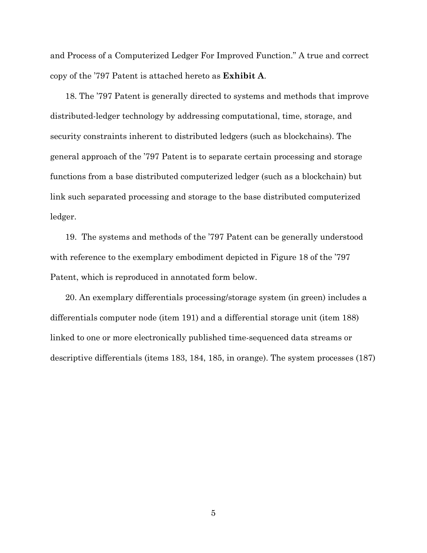and Process of a Computerized Ledger For Improved Function." A true and correct copy of the '797 Patent is attached hereto as **Exhibit A**.

18. The '797 Patent is generally directed to systems and methods that improve distributed-ledger technology by addressing computational, time, storage, and security constraints inherent to distributed ledgers (such as blockchains). The general approach of the '797 Patent is to separate certain processing and storage functions from a base distributed computerized ledger (such as a blockchain) but link such separated processing and storage to the base distributed computerized ledger.

19. The systems and methods of the '797 Patent can be generally understood with reference to the exemplary embodiment depicted in Figure 18 of the '797 Patent, which is reproduced in annotated form below.

20. An exemplary differentials processing/storage system (in green) includes a differentials computer node (item 191) and a differential storage unit (item 188) linked to one or more electronically published time-sequenced data streams or descriptive differentials (items 183, 184, 185, in orange). The system processes (187)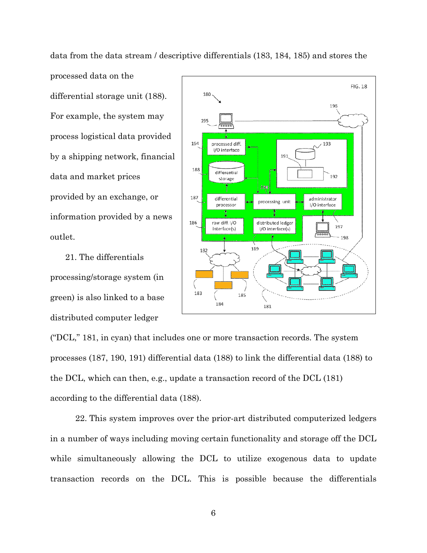data from the data stream / descriptive differentials (183, 184, 185) and stores the processed data on the differential storage unit (188). For example, the system may  $19<sup>c</sup>$ process logistical data provided 194 by a shipping network, financial 188 data and market prices provided by an exchange, or 187 information provided by a news 186 outlet.

21. The differentials processing/storage system (in green) is also linked to a base distributed computer ledger



("DCL," 181, in cyan) that includes one or more transaction records. The system processes (187, 190, 191) differential data (188) to link the differential data (188) to the DCL, which can then, e.g., update a transaction record of the DCL (181) according to the differential data (188).

22. This system improves over the prior-art distributed computerized ledgers in a number of ways including moving certain functionality and storage off the DCL while simultaneously allowing the DCL to utilize exogenous data to update transaction records on the DCL. This is possible because the differentials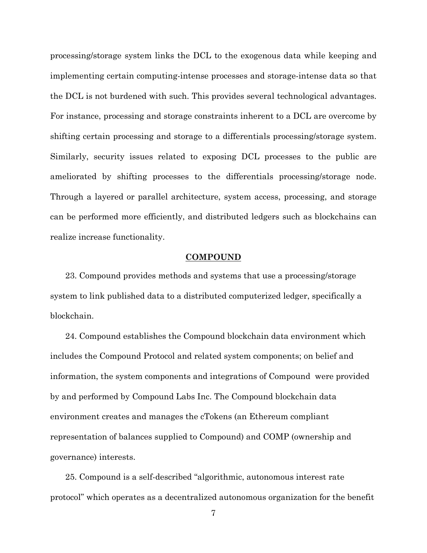processing/storage system links the DCL to the exogenous data while keeping and implementing certain computing-intense processes and storage-intense data so that the DCL is not burdened with such. This provides several technological advantages. For instance, processing and storage constraints inherent to a DCL are overcome by shifting certain processing and storage to a differentials processing/storage system. Similarly, security issues related to exposing DCL processes to the public are ameliorated by shifting processes to the differentials processing/storage node. Through a layered or parallel architecture, system access, processing, and storage can be performed more efficiently, and distributed ledgers such as blockchains can realize increase functionality.

#### **COMPOUND**

23. Compound provides methods and systems that use a processing/storage system to link published data to a distributed computerized ledger, specifically a blockchain.

24. Compound establishes the Compound blockchain data environment which includes the Compound Protocol and related system components; on belief and information, the system components and integrations of Compound were provided by and performed by Compound Labs Inc. The Compound blockchain data environment creates and manages the cTokens (an Ethereum compliant representation of balances supplied to Compound) and COMP (ownership and governance) interests.

25. Compound is a self-described "algorithmic, autonomous interest rate protocol" which operates as a decentralized autonomous organization for the benefit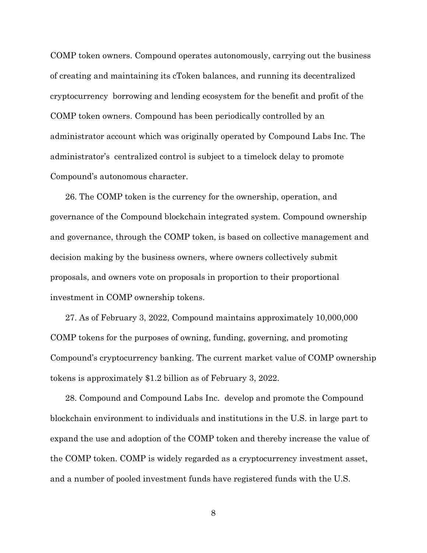COMP token owners. Compound operates autonomously, carrying out the business of creating and maintaining its cToken balances, and running its decentralized cryptocurrency borrowing and lending ecosystem for the benefit and profit of the COMP token owners. Compound has been periodically controlled by an administrator account which was originally operated by Compound Labs Inc. The administrator's centralized control is subject to a timelock delay to promote Compound's autonomous character.

26. The COMP token is the currency for the ownership, operation, and governance of the Compound blockchain integrated system. Compound ownership and governance, through the COMP token, is based on collective management and decision making by the business owners, where owners collectively submit proposals, and owners vote on proposals in proportion to their proportional investment in COMP ownership tokens.

27. As of February 3, 2022, Compound maintains approximately 10,000,000 COMP tokens for the purposes of owning, funding, governing, and promoting Compound's cryptocurrency banking. The current market value of COMP ownership tokens is approximately \$1.2 billion as of February 3, 2022.

28. Compound and Compound Labs Inc. develop and promote the Compound blockchain environment to individuals and institutions in the U.S. in large part to expand the use and adoption of the COMP token and thereby increase the value of the COMP token. COMP is widely regarded as a cryptocurrency investment asset, and a number of pooled investment funds have registered funds with the U.S.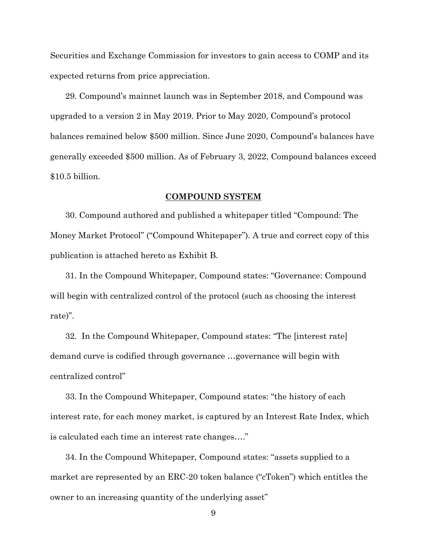Securities and Exchange Commission for investors to gain access to COMP and its expected returns from price appreciation.

29. Compound's mainnet launch was in September 2018, and Compound was upgraded to a version 2 in May 2019. Prior to May 2020, Compound's protocol balances remained below \$500 million. Since June 2020, Compound's balances have generally exceeded \$500 million. As of February 3, 2022, Compound balances exceed \$10.5 billion.

#### **COMPOUND SYSTEM**

30. Compound authored and published a whitepaper titled "Compound: The Money Market Protocol" ("Compound Whitepaper"). A true and correct copy of this publication is attached hereto as Exhibit B.

31. In the Compound Whitepaper, Compound states: "Governance: Compound will begin with centralized control of the protocol (such as choosing the interest rate)".

32. In the Compound Whitepaper, Compound states: "The [interest rate] demand curve is codified through governance …governance will begin with centralized control"

33. In the Compound Whitepaper, Compound states: "the history of each interest rate, for each money market, is captured by an Interest Rate Index, which is calculated each time an interest rate changes…."

34. In the Compound Whitepaper, Compound states: "assets supplied to a market are represented by an ERC-20 token balance ("cToken") which entitles the owner to an increasing quantity of the underlying asset"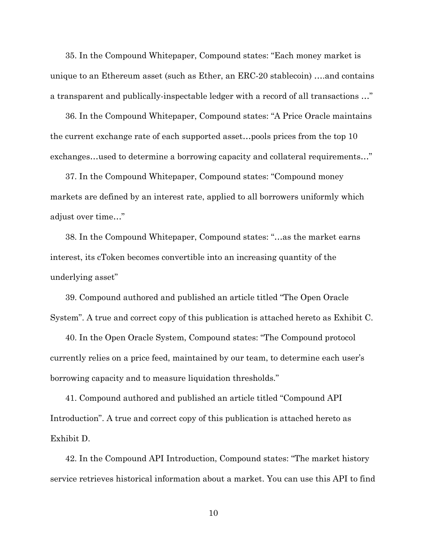35. In the Compound Whitepaper, Compound states: "Each money market is unique to an Ethereum asset (such as Ether, an ERC-20 stablecoin) ….and contains a transparent and publically-inspectable ledger with a record of all transactions …"

36. In the Compound Whitepaper, Compound states: "A Price Oracle maintains the current exchange rate of each supported asset…pools prices from the top 10 exchanges…used to determine a borrowing capacity and collateral requirements…"

37. In the Compound Whitepaper, Compound states: "Compound money markets are defined by an interest rate, applied to all borrowers uniformly which adjust over time…"

38. In the Compound Whitepaper, Compound states: "…as the market earns interest, its cToken becomes convertible into an increasing quantity of the underlying asset"

39. Compound authored and published an article titled "The Open Oracle System". A true and correct copy of this publication is attached hereto as Exhibit C.

40. In the Open Oracle System, Compound states: "The Compound protocol currently relies on a price feed, maintained by our team, to determine each user's borrowing capacity and to measure liquidation thresholds."

41. Compound authored and published an article titled "Compound API Introduction". A true and correct copy of this publication is attached hereto as Exhibit D.

42. In the Compound API Introduction, Compound states: "The market history service retrieves historical information about a market. You can use this API to find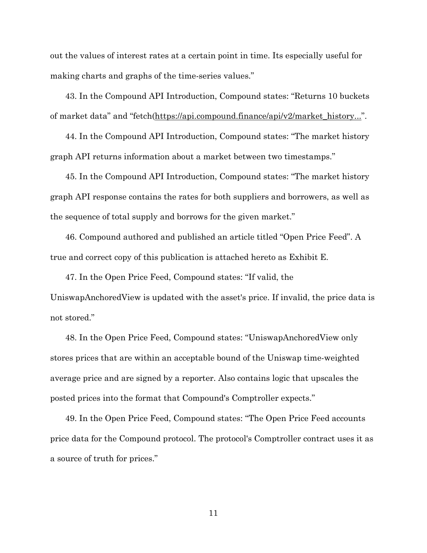out the values of interest rates at a certain point in time. Its especially useful for making charts and graphs of the time-series values."

43. In the Compound API Introduction, Compound states: "Returns 10 buckets of market data" and "fetch[\(https://api.compound.finance/api/v2/market\\_history..."](https://api.compound.finance/api/v2/market_history...).

44. In the Compound API Introduction, Compound states: "The market history graph API returns information about a market between two timestamps."

45. In the Compound API Introduction, Compound states: "The market history graph API response contains the rates for both suppliers and borrowers, as well as the sequence of total supply and borrows for the given market."

46. Compound authored and published an article titled "Open Price Feed". A true and correct copy of this publication is attached hereto as Exhibit E.

47. In the Open Price Feed, Compound states: "If valid, the UniswapAnchoredView is updated with the asset's price. If invalid, the price data is not stored."

48. In the Open Price Feed, Compound states: "UniswapAnchoredView only stores prices that are within an acceptable bound of the Uniswap time-weighted average price and are signed by a reporter. Also contains logic that upscales the posted prices into the format that Compound's Comptroller expects."

49. In the Open Price Feed, Compound states: "The Open Price Feed accounts price data for the Compound protocol. The protocol's Comptroller contract uses it as a source of truth for prices."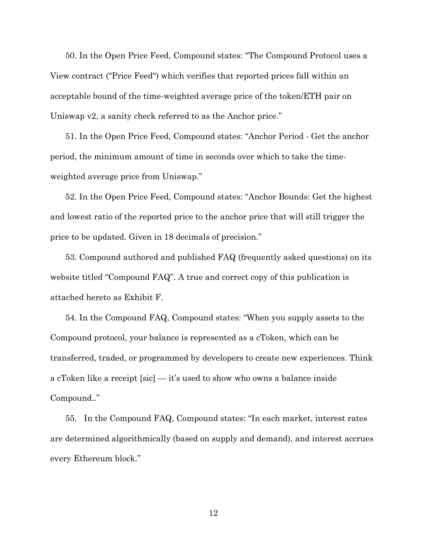50. In the Open Price Feed, Compound states: "The Compound Protocol uses a View contract ("Price Feed") which verifies that reported prices fall within an acceptable bound of the time-weighted average price of the token/ETH pair on Uniswap v2, a sanity check referred to as the Anchor price."

51. In the Open Price Feed, Compound states: "Anchor Period - Get the anchor period, the minimum amount of time in seconds over which to take the timeweighted average price from Uniswap."

52. In the Open Price Feed, Compound states: "Anchor Bounds: Get the highest and lowest ratio of the reported price to the anchor price that will still trigger the price to be updated. Given in 18 decimals of precision."

53. Compound authored and published FAQ (frequently asked questions) on its website titled "Compound FAQ". A true and correct copy of this publication is attached hereto as Exhibit F.

54. In the Compound FAQ, Compound states: "When you supply assets to the Compound protocol, your balance is represented as a cToken, which can be transferred, traded, or programmed by developers to create new experiences. Think a cToken like a receipt [sic] — it's used to show who owns a balance inside Compound.."

55. In the Compound FAQ, Compound states: "In each market, interest rates are determined algorithmically (based on supply and demand), and interest accrues every Ethereum block."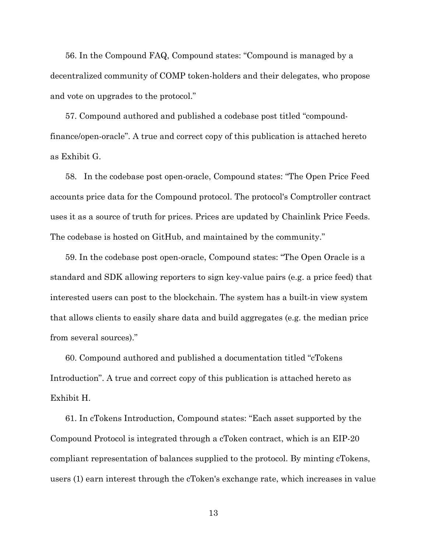56. In the Compound FAQ, Compound states: "Compound is managed by a decentralized community of COMP token-holders and their delegates, who propose and vote on upgrades to the protocol."

57. Compound authored and published a codebase post titled "compoundfinance/open-oracle". A true and correct copy of this publication is attached hereto as Exhibit G.

58. In the codebase post open-oracle, Compound states: "The Open Price Feed accounts price data for the Compound protocol. The protocol's Comptroller contract uses it as a source of truth for prices. Prices are updated by Chainlink Price Feeds. The codebase is hosted on GitHub, and maintained by the community."

59. In the codebase post open-oracle, Compound states: "The Open Oracle is a standard and SDK allowing reporters to sign key-value pairs (e.g. a price feed) that interested users can post to the blockchain. The system has a built-in view system that allows clients to easily share data and build aggregates (e.g. the median price from several sources)."

60. Compound authored and published a documentation titled "cTokens Introduction". A true and correct copy of this publication is attached hereto as Exhibit H.

61. In cTokens Introduction, Compound states: "Each asset supported by the Compound Protocol is integrated through a cToken contract, which is an EIP-20 compliant representation of balances supplied to the protocol. By minting cTokens, users (1) earn interest through the cToken's exchange rate, which increases in value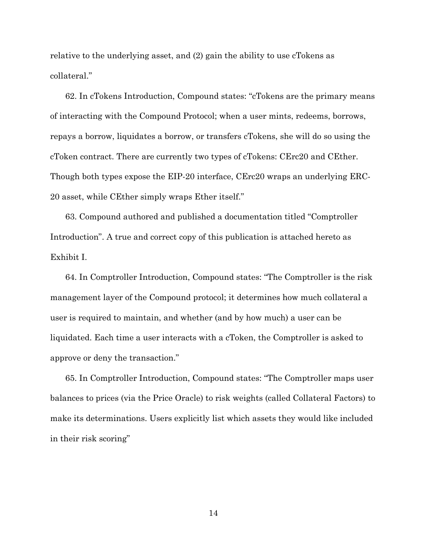relative to the underlying asset, and (2) gain the ability to use cTokens as collateral."

62. In cTokens Introduction, Compound states: "cTokens are the primary means of interacting with the Compound Protocol; when a user mints, redeems, borrows, repays a borrow, liquidates a borrow, or transfers cTokens, she will do so using the cToken contract. There are currently two types of cTokens: CErc20 and CEther. Though both types expose the EIP-20 interface, CErc20 wraps an underlying ERC-20 asset, while CEther simply wraps Ether itself."

63. Compound authored and published a documentation titled "Comptroller Introduction". A true and correct copy of this publication is attached hereto as Exhibit I.

64. In Comptroller Introduction, Compound states: "The Comptroller is the risk management layer of the Compound protocol; it determines how much collateral a user is required to maintain, and whether (and by how much) a user can be liquidated. Each time a user interacts with a cToken, the Comptroller is asked to approve or deny the transaction."

65. In Comptroller Introduction, Compound states: "The Comptroller maps user balances to prices (via the Price Oracle) to risk weights (called Collateral Factors) to make its determinations. Users explicitly list which assets they would like included in their risk scoring"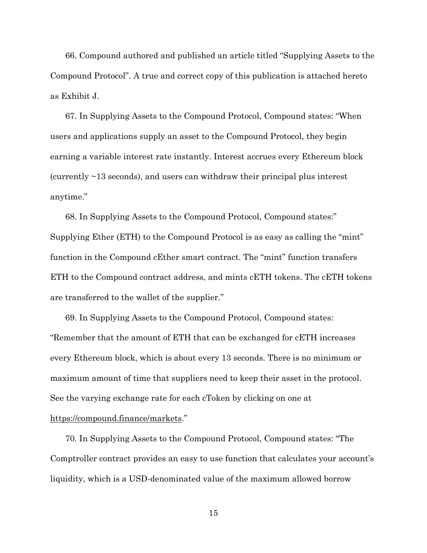66. Compound authored and published an article titled "Supplying Assets to the Compound Protocol". A true and correct copy of this publication is attached hereto as Exhibit J.

67. In Supplying Assets to the Compound Protocol, Compound states: "When users and applications supply an asset to the Compound Protocol, they begin earning a variable interest rate instantly. Interest accrues every Ethereum block (currently ~13 seconds), and users can withdraw their principal plus interest anytime."

68. In Supplying Assets to the Compound Protocol, Compound states:" Supplying Ether (ETH) to the Compound Protocol is as easy as calling the "mint" function in the Compound cEther smart contract. The "mint" function transfers ETH to the Compound contract address, and mints cETH tokens. The cETH tokens are transferred to the wallet of the supplier."

69. In Supplying Assets to the Compound Protocol, Compound states: "Remember that the amount of ETH that can be exchanged for cETH increases every Ethereum block, which is about every 13 seconds. There is no minimum or maximum amount of time that suppliers need to keep their asset in the protocol. See the varying exchange rate for each cToken by clicking on one at

## [https://compound.finance/markets.](https://compound.finance/markets)"

70. In Supplying Assets to the Compound Protocol, Compound states: "The Comptroller contract provides an easy to use function that calculates your account's liquidity, which is a USD-denominated value of the maximum allowed borrow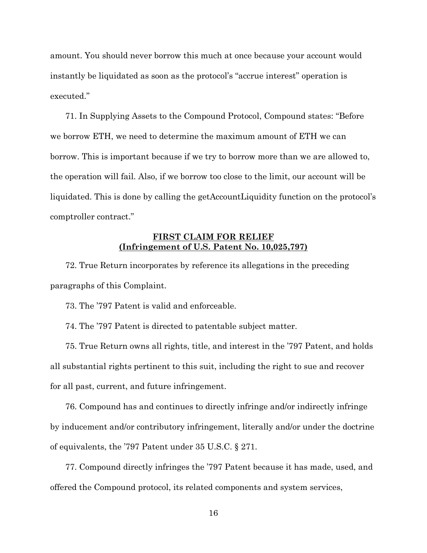amount. You should never borrow this much at once because your account would instantly be liquidated as soon as the protocol's "accrue interest" operation is executed."

71. In Supplying Assets to the Compound Protocol, Compound states: "Before we borrow ETH, we need to determine the maximum amount of ETH we can borrow. This is important because if we try to borrow more than we are allowed to, the operation will fail. Also, if we borrow too close to the limit, our account will be liquidated. This is done by calling the getAccountLiquidity function on the protocol's comptroller contract."

# **FIRST CLAIM FOR RELIEF (Infringement of U.S. Patent No. 10,025,797)**

72. True Return incorporates by reference its allegations in the preceding paragraphs of this Complaint.

73. The '797 Patent is valid and enforceable.

74. The '797 Patent is directed to patentable subject matter.

75. True Return owns all rights, title, and interest in the '797 Patent, and holds all substantial rights pertinent to this suit, including the right to sue and recover for all past, current, and future infringement.

76. Compound has and continues to directly infringe and/or indirectly infringe by inducement and/or contributory infringement, literally and/or under the doctrine of equivalents, the '797 Patent under 35 U.S.C. § 271.

77. Compound directly infringes the '797 Patent because it has made, used, and offered the Compound protocol, its related components and system services,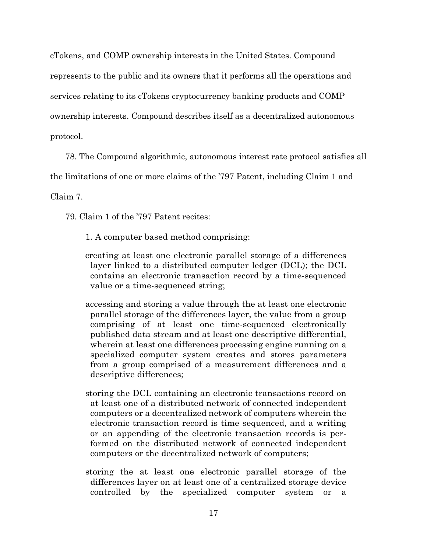cTokens, and COMP ownership interests in the United States. Compound represents to the public and its owners that it performs all the operations and services relating to its cTokens cryptocurrency banking products and COMP ownership interests. Compound describes itself as a decentralized autonomous protocol.

78. The Compound algorithmic, autonomous interest rate protocol satisfies all the limitations of one or more claims of the '797 Patent, including Claim 1 and

Claim 7.

79. Claim 1 of the '797 Patent recites:

- 1. A computer based method comprising:
- creating at least one electronic parallel storage of a differences layer linked to a distributed computer ledger (DCL); the DCL contains an electronic transaction record by a time-sequenced value or a time-sequenced string;
- accessing and storing a value through the at least one electronic parallel storage of the differences layer, the value from a group comprising of at least one time-sequenced electronically published data stream and at least one descriptive differential, wherein at least one differences processing engine running on a specialized computer system creates and stores parameters from a group comprised of a measurement differences and a descriptive differences;
- storing the DCL containing an electronic transactions record on at least one of a distributed network of connected independent computers or a decentralized network of computers wherein the electronic transaction record is time sequenced, and a writing or an appending of the electronic transaction records is performed on the distributed network of connected independent computers or the decentralized network of computers;
- storing the at least one electronic parallel storage of the differences layer on at least one of a centralized storage device controlled by the specialized computer system or a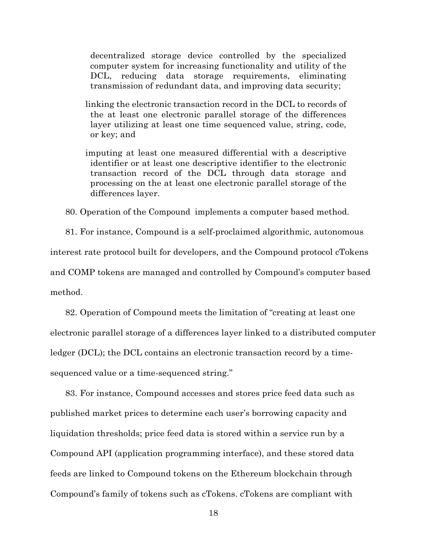decentralized storage device controlled by the specialized computer system for increasing functionality and utility of the DCL, reducing data storage requirements, eliminating transmission of redundant data, and improving data security;

- linking the electronic transaction record in the DCL to records of the at least one electronic parallel storage of the differences layer utilizing at least one time sequenced value, string, code, or key; and
- imputing at least one measured differential with a descriptive identifier or at least one descriptive identifier to the electronic transaction record of the DCL through data storage and processing on the at least one electronic parallel storage of the differences layer.

80. Operation of the Compound implements a computer based method.

81. For instance, Compound is a self-proclaimed algorithmic, autonomous interest rate protocol built for developers, and the Compound protocol cTokens and COMP tokens are managed and controlled by Compound's computer based method.

82. Operation of Compound meets the limitation of "creating at least one electronic parallel storage of a differences layer linked to a distributed computer ledger (DCL); the DCL contains an electronic transaction record by a timesequenced value or a time-sequenced string."

83. For instance, Compound accesses and stores price feed data such as published market prices to determine each user's borrowing capacity and liquidation thresholds; price feed data is stored within a service run by a Compound API (application programming interface), and these stored data feeds are linked to Compound tokens on the Ethereum blockchain through Compound's family of tokens such as cTokens. cTokens are compliant with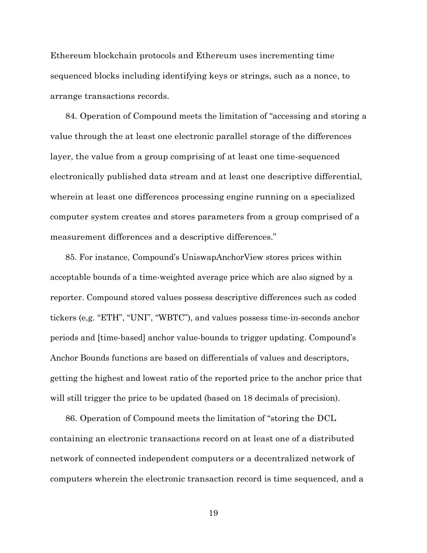Ethereum blockchain protocols and Ethereum uses incrementing time sequenced blocks including identifying keys or strings, such as a nonce, to arrange transactions records.

84. Operation of Compound meets the limitation of "accessing and storing a value through the at least one electronic parallel storage of the differences layer, the value from a group comprising of at least one time-sequenced electronically published data stream and at least one descriptive differential, wherein at least one differences processing engine running on a specialized computer system creates and stores parameters from a group comprised of a measurement differences and a descriptive differences."

85. For instance, Compound's UniswapAnchorView stores prices within acceptable bounds of a time-weighted average price which are also signed by a reporter. Compound stored values possess descriptive differences such as coded tickers (e,g. "ETH", "UNI", "WBTC"), and values possess time-in-seconds anchor periods and [time-based] anchor value-bounds to trigger updating. Compound's Anchor Bounds functions are based on differentials of values and descriptors, getting the highest and lowest ratio of the reported price to the anchor price that will still trigger the price to be updated (based on 18 decimals of precision).

86. Operation of Compound meets the limitation of "storing the DCL containing an electronic transactions record on at least one of a distributed network of connected independent computers or a decentralized network of computers wherein the electronic transaction record is time sequenced, and a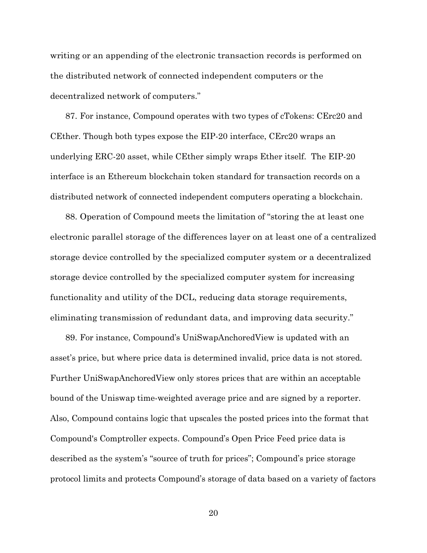writing or an appending of the electronic transaction records is performed on the distributed network of connected independent computers or the decentralized network of computers."

87. For instance, Compound operates with two types of cTokens: CErc20 and CEther. Though both types expose the EIP-20 interface, CErc20 wraps an underlying ERC-20 asset, while CEther simply wraps Ether itself. The EIP-20 interface is an Ethereum blockchain token standard for transaction records on a distributed network of connected independent computers operating a blockchain.

88. Operation of Compound meets the limitation of "storing the at least one electronic parallel storage of the differences layer on at least one of a centralized storage device controlled by the specialized computer system or a decentralized storage device controlled by the specialized computer system for increasing functionality and utility of the DCL, reducing data storage requirements, eliminating transmission of redundant data, and improving data security."

89. For instance, Compound's UniSwapAnchoredView is updated with an asset's price, but where price data is determined invalid, price data is not stored. Further UniSwapAnchoredView only stores prices that are within an acceptable bound of the Uniswap time-weighted average price and are signed by a reporter. Also, Compound contains logic that upscales the posted prices into the format that Compound's Comptroller expects. Compound's Open Price Feed price data is described as the system's "source of truth for prices"; Compound's price storage protocol limits and protects Compound's storage of data based on a variety of factors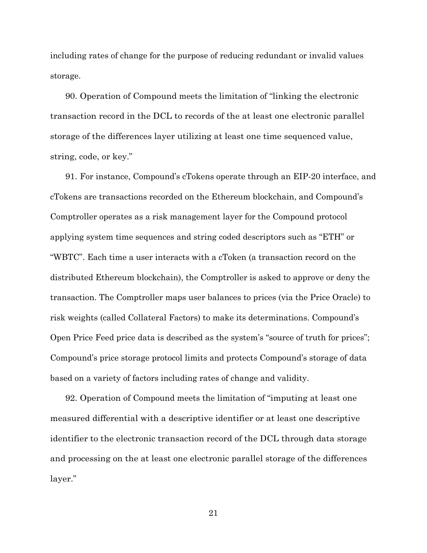including rates of change for the purpose of reducing redundant or invalid values storage.

90. Operation of Compound meets the limitation of "linking the electronic transaction record in the DCL to records of the at least one electronic parallel storage of the differences layer utilizing at least one time sequenced value, string, code, or key."

91. For instance, Compound's cTokens operate through an EIP-20 interface, and cTokens are transactions recorded on the Ethereum blockchain, and Compound's Comptroller operates as a risk management layer for the Compound protocol applying system time sequences and string coded descriptors such as "ETH" or "WBTC". Each time a user interacts with a cToken (a transaction record on the distributed Ethereum blockchain), the Comptroller is asked to approve or deny the transaction. The Comptroller maps user balances to prices (via the Price Oracle) to risk weights (called Collateral Factors) to make its determinations. Compound's Open Price Feed price data is described as the system's "source of truth for prices"; Compound's price storage protocol limits and protects Compound's storage of data based on a variety of factors including rates of change and validity.

92. Operation of Compound meets the limitation of "imputing at least one measured differential with a descriptive identifier or at least one descriptive identifier to the electronic transaction record of the DCL through data storage and processing on the at least one electronic parallel storage of the differences layer."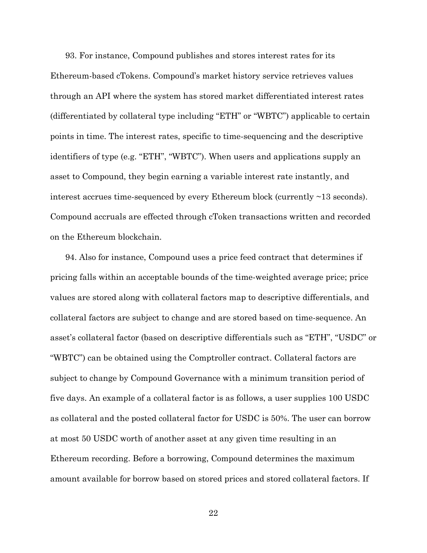93. For instance, Compound publishes and stores interest rates for its Ethereum-based cTokens. Compound's market history service retrieves values through an API where the system has stored market differentiated interest rates (differentiated by collateral type including "ETH" or "WBTC") applicable to certain points in time. The interest rates, specific to time-sequencing and the descriptive identifiers of type (e.g. "ETH", "WBTC"). When users and applications supply an asset to Compound, they begin earning a variable interest rate instantly, and interest accrues time-sequenced by every Ethereum block (currently ~13 seconds). Compound accruals are effected through cToken transactions written and recorded on the Ethereum blockchain.

94. Also for instance, Compound uses a price feed contract that determines if pricing falls within an acceptable bounds of the time-weighted average price; price values are stored along with collateral factors map to descriptive differentials, and collateral factors are subject to change and are stored based on time-sequence. An asset's collateral factor (based on descriptive differentials such as "ETH", "USDC" or "WBTC") can be obtained using the Comptroller contract. Collateral factors are subject to change by Compound Governance with a minimum transition period of five days. An example of a collateral factor is as follows, a user supplies 100 USDC as collateral and the posted collateral factor for USDC is 50%. The user can borrow at most 50 USDC worth of another asset at any given time resulting in an Ethereum recording. Before a borrowing, Compound determines the maximum amount available for borrow based on stored prices and stored collateral factors. If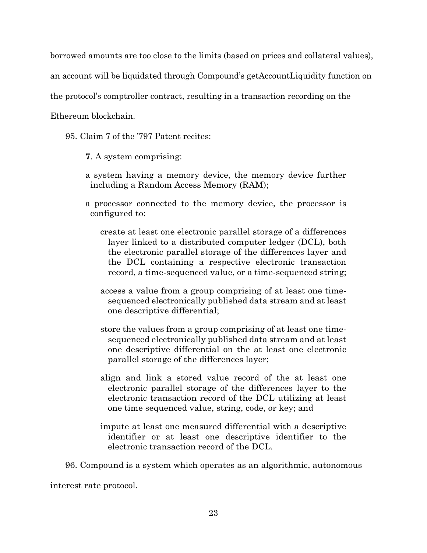borrowed amounts are too close to the limits (based on prices and collateral values),

an account will be liquidated through Compound's getAccountLiquidity function on

the protocol's comptroller contract, resulting in a transaction recording on the

Ethereum blockchain.

95. Claim 7 of the '797 Patent recites:

**7**. A system comprising:

- a system having a memory device, the memory device further including a Random Access Memory (RAM);
- a processor connected to the memory device, the processor is configured to:
	- create at least one electronic parallel storage of a differences layer linked to a distributed computer ledger (DCL), both the electronic parallel storage of the differences layer and the DCL containing a respective electronic transaction record, a time-sequenced value, or a time-sequenced string;
	- access a value from a group comprising of at least one timesequenced electronically published data stream and at least one descriptive differential;
	- store the values from a group comprising of at least one timesequenced electronically published data stream and at least one descriptive differential on the at least one electronic parallel storage of the differences layer;
	- align and link a stored value record of the at least one electronic parallel storage of the differences layer to the electronic transaction record of the DCL utilizing at least one time sequenced value, string, code, or key; and
	- impute at least one measured differential with a descriptive identifier or at least one descriptive identifier to the electronic transaction record of the DCL.

96. Compound is a system which operates as an algorithmic, autonomous

interest rate protocol.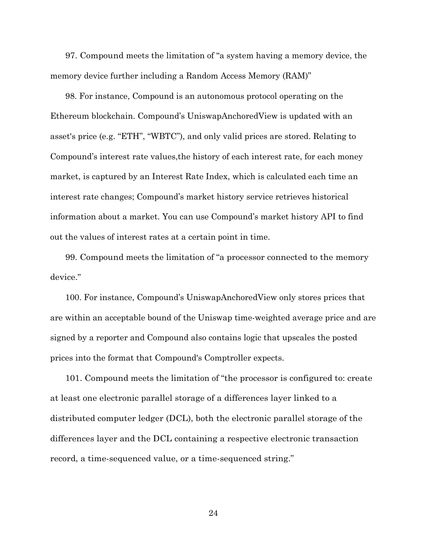97. Compound meets the limitation of "a system having a memory device, the memory device further including a Random Access Memory (RAM)"

98. For instance, Compound is an autonomous protocol operating on the Ethereum blockchain. Compound's UniswapAnchoredView is updated with an asset's price (e.g. "ETH", "WBTC"), and only valid prices are stored. Relating to Compound's interest rate values,the history of each interest rate, for each money market, is captured by an Interest Rate Index, which is calculated each time an interest rate changes; Compound's market history service retrieves historical information about a market. You can use Compound's market history API to find out the values of interest rates at a certain point in time.

99. Compound meets the limitation of "a processor connected to the memory device."

100. For instance, Compound's UniswapAnchoredView only stores prices that are within an acceptable bound of the Uniswap time-weighted average price and are signed by a reporter and Compound also contains logic that upscales the posted prices into the format that Compound's Comptroller expects.

101. Compound meets the limitation of "the processor is configured to: create at least one electronic parallel storage of a differences layer linked to a distributed computer ledger (DCL), both the electronic parallel storage of the differences layer and the DCL containing a respective electronic transaction record, a time-sequenced value, or a time-sequenced string."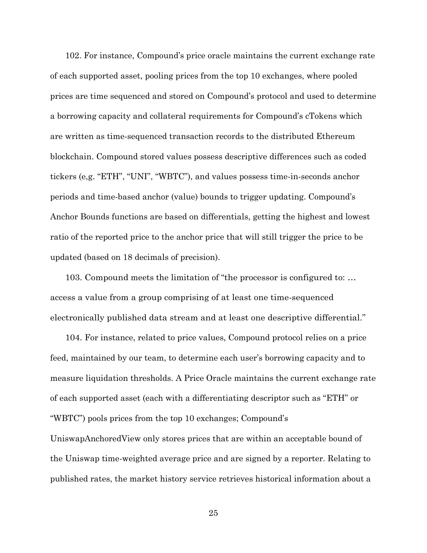102. For instance, Compound's price oracle maintains the current exchange rate of each supported asset, pooling prices from the top 10 exchanges, where pooled prices are time sequenced and stored on Compound's protocol and used to determine a borrowing capacity and collateral requirements for Compound's cTokens which are written as time-sequenced transaction records to the distributed Ethereum blockchain. Compound stored values possess descriptive differences such as coded tickers (e,g. "ETH", "UNI", "WBTC"), and values possess time-in-seconds anchor periods and time-based anchor (value) bounds to trigger updating. Compound's Anchor Bounds functions are based on differentials, getting the highest and lowest ratio of the reported price to the anchor price that will still trigger the price to be updated (based on 18 decimals of precision).

103. Compound meets the limitation of "the processor is configured to: … access a value from a group comprising of at least one time-sequenced electronically published data stream and at least one descriptive differential."

104. For instance, related to price values, Compound protocol relies on a price feed, maintained by our team, to determine each user's borrowing capacity and to measure liquidation thresholds. A Price Oracle maintains the current exchange rate of each supported asset (each with a differentiating descriptor such as "ETH" or "WBTC") pools prices from the top 10 exchanges; Compound's UniswapAnchoredView only stores prices that are within an acceptable bound of the Uniswap time-weighted average price and are signed by a reporter. Relating to published rates, the market history service retrieves historical information about a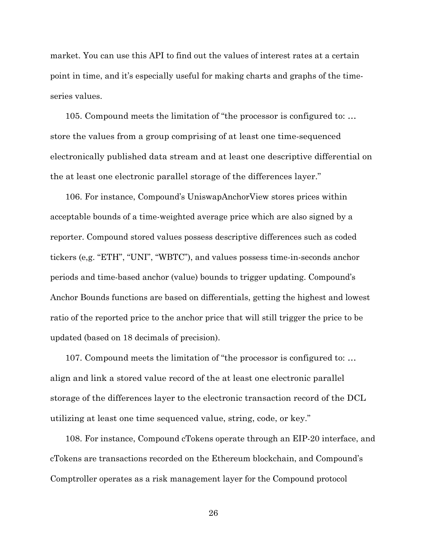market. You can use this API to find out the values of interest rates at a certain point in time, and it's especially useful for making charts and graphs of the timeseries values.

105. Compound meets the limitation of "the processor is configured to: … store the values from a group comprising of at least one time-sequenced electronically published data stream and at least one descriptive differential on the at least one electronic parallel storage of the differences layer."

106. For instance, Compound's UniswapAnchorView stores prices within acceptable bounds of a time-weighted average price which are also signed by a reporter. Compound stored values possess descriptive differences such as coded tickers (e,g. "ETH", "UNI", "WBTC"), and values possess time-in-seconds anchor periods and time-based anchor (value) bounds to trigger updating. Compound's Anchor Bounds functions are based on differentials, getting the highest and lowest ratio of the reported price to the anchor price that will still trigger the price to be updated (based on 18 decimals of precision).

107. Compound meets the limitation of "the processor is configured to: … align and link a stored value record of the at least one electronic parallel storage of the differences layer to the electronic transaction record of the DCL utilizing at least one time sequenced value, string, code, or key."

108. For instance, Compound cTokens operate through an EIP-20 interface, and cTokens are transactions recorded on the Ethereum blockchain, and Compound's Comptroller operates as a risk management layer for the Compound protocol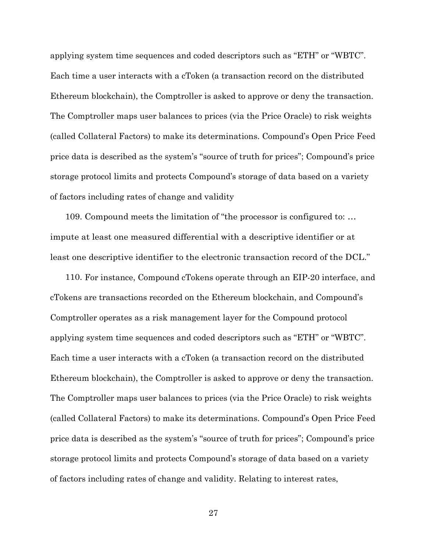applying system time sequences and coded descriptors such as "ETH" or "WBTC". Each time a user interacts with a cToken (a transaction record on the distributed Ethereum blockchain), the Comptroller is asked to approve or deny the transaction. The Comptroller maps user balances to prices (via the Price Oracle) to risk weights (called Collateral Factors) to make its determinations. Compound's Open Price Feed price data is described as the system's "source of truth for prices"; Compound's price storage protocol limits and protects Compound's storage of data based on a variety of factors including rates of change and validity

109. Compound meets the limitation of "the processor is configured to: … impute at least one measured differential with a descriptive identifier or at least one descriptive identifier to the electronic transaction record of the DCL."

110. For instance, Compound cTokens operate through an EIP-20 interface, and cTokens are transactions recorded on the Ethereum blockchain, and Compound's Comptroller operates as a risk management layer for the Compound protocol applying system time sequences and coded descriptors such as "ETH" or "WBTC". Each time a user interacts with a cToken (a transaction record on the distributed Ethereum blockchain), the Comptroller is asked to approve or deny the transaction. The Comptroller maps user balances to prices (via the Price Oracle) to risk weights (called Collateral Factors) to make its determinations. Compound's Open Price Feed price data is described as the system's "source of truth for prices"; Compound's price storage protocol limits and protects Compound's storage of data based on a variety of factors including rates of change and validity. Relating to interest rates,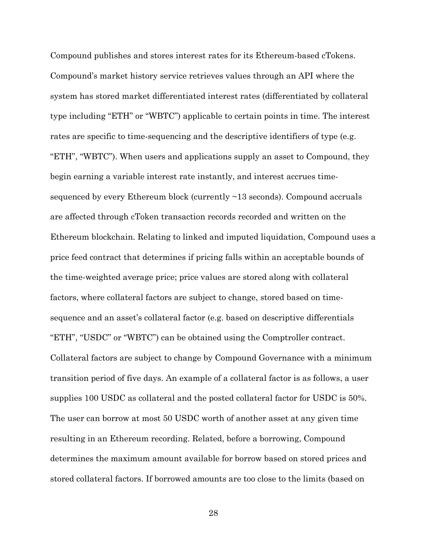Compound publishes and stores interest rates for its Ethereum-based cTokens. Compound's market history service retrieves values through an API where the system has stored market differentiated interest rates (differentiated by collateral type including "ETH" or "WBTC") applicable to certain points in time. The interest rates are specific to time-sequencing and the descriptive identifiers of type (e.g. "ETH", "WBTC"). When users and applications supply an asset to Compound, they begin earning a variable interest rate instantly, and interest accrues timesequenced by every Ethereum block (currently ~13 seconds). Compound accruals are affected through cToken transaction records recorded and written on the Ethereum blockchain. Relating to linked and imputed liquidation, Compound uses a price feed contract that determines if pricing falls within an acceptable bounds of the time-weighted average price; price values are stored along with collateral factors, where collateral factors are subject to change, stored based on timesequence and an asset's collateral factor (e.g. based on descriptive differentials "ETH", "USDC" or "WBTC") can be obtained using the Comptroller contract. Collateral factors are subject to change by Compound Governance with a minimum transition period of five days. An example of a collateral factor is as follows, a user supplies 100 USDC as collateral and the posted collateral factor for USDC is 50%. The user can borrow at most 50 USDC worth of another asset at any given time resulting in an Ethereum recording. Related, before a borrowing, Compound determines the maximum amount available for borrow based on stored prices and stored collateral factors. If borrowed amounts are too close to the limits (based on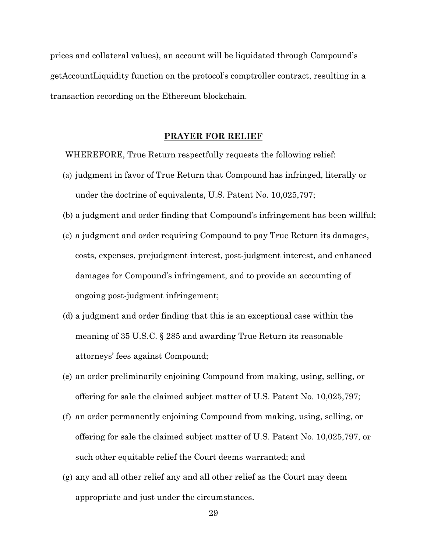prices and collateral values), an account will be liquidated through Compound's getAccountLiquidity function on the protocol's comptroller contract, resulting in a transaction recording on the Ethereum blockchain.

## **PRAYER FOR RELIEF**

WHEREFORE, True Return respectfully requests the following relief:

- (a) judgment in favor of True Return that Compound has infringed, literally or under the doctrine of equivalents, U.S. Patent No. 10,025,797;
- (b) a judgment and order finding that Compound's infringement has been willful;
- (c) a judgment and order requiring Compound to pay True Return its damages, costs, expenses, prejudgment interest, post-judgment interest, and enhanced damages for Compound's infringement, and to provide an accounting of ongoing post-judgment infringement;
- (d) a judgment and order finding that this is an exceptional case within the meaning of 35 U.S.C. § 285 and awarding True Return its reasonable attorneys' fees against Compound;
- (e) an order preliminarily enjoining Compound from making, using, selling, or offering for sale the claimed subject matter of U.S. Patent No. 10,025,797;
- (f) an order permanently enjoining Compound from making, using, selling, or offering for sale the claimed subject matter of U.S. Patent No. 10,025,797, or such other equitable relief the Court deems warranted; and
- (g) any and all other relief any and all other relief as the Court may deem appropriate and just under the circumstances.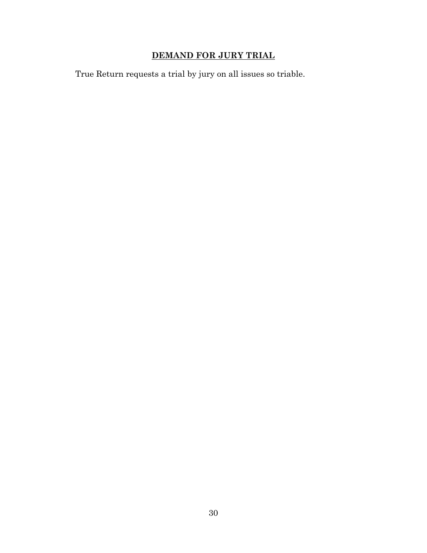# **DEMAND FOR JURY TRIAL**

True Return requests a trial by jury on all issues so triable.